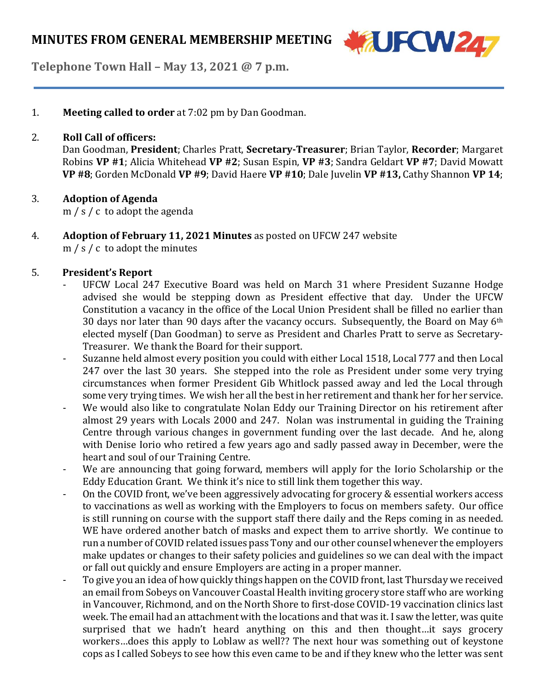

**Telephone Town Hall – May 13, 2021 @ 7 p.m.**

1. **Meeting called to order** at 7:02 pm by Dan Goodman.

### 2. **Roll Call of officers:**

Dan Goodman, **President**; Charles Pratt, **Secretary-Treasurer**; Brian Taylor, **Recorder**; Margaret Robins **VP #1**; Alicia Whitehead **VP #2**; Susan Espin, **VP #3**; Sandra Geldart **VP #7**; David Mowatt **VP #8**; Gorden McDonald **VP #9**; David Haere **VP #10**; Dale Juvelin **VP #13,** Cathy Shannon **VP 14**;

### 3. **Adoption of Agenda**

m / s / c to adopt the agenda

4. **Adoption of February 11, 2021 Minutes** as posted on UFCW 247 website m / s / c to adopt the minutes

## 5. **President's Report**

- UFCW Local 247 Executive Board was held on March 31 where President Suzanne Hodge advised she would be stepping down as President effective that day. Under the UFCW Constitution a vacancy in the office of the Local Union President shall be filled no earlier than 30 days nor later than 90 days after the vacancy occurs. Subsequently, the Board on May  $6<sup>th</sup>$ elected myself (Dan Goodman) to serve as President and Charles Pratt to serve as Secretary-Treasurer. We thank the Board for their support.
- Suzanne held almost every position you could with either Local 1518, Local 777 and then Local 247 over the last 30 years. She stepped into the role as President under some very trying circumstances when former President Gib Whitlock passed away and led the Local through some very trying times. We wish her all the best in her retirement and thank her for her service.
- We would also like to congratulate Nolan Eddy our Training Director on his retirement after almost 29 years with Locals 2000 and 247. Nolan was instrumental in guiding the Training Centre through various changes in government funding over the last decade. And he, along with Denise Iorio who retired a few years ago and sadly passed away in December, were the heart and soul of our Training Centre.
- We are announcing that going forward, members will apply for the Iorio Scholarship or the Eddy Education Grant. We think it's nice to still link them together this way.
- On the COVID front, we've been aggressively advocating for grocery & essential workers access to vaccinations as well as working with the Employers to focus on members safety. Our office is still running on course with the support staff there daily and the Reps coming in as needed. WE have ordered another batch of masks and expect them to arrive shortly. We continue to run a number of COVID related issues pass Tony and our other counsel whenever the employers make updates or changes to their safety policies and guidelines so we can deal with the impact or fall out quickly and ensure Employers are acting in a proper manner.
- To give you an idea of how quickly things happen on the COVID front, last Thursday we received an email from Sobeys on Vancouver Coastal Health inviting grocery store staff who are working in Vancouver, Richmond, and on the North Shore to first-dose COVID-19 vaccination clinics last week. The email had an attachment with the locations and that was it. I saw the letter, was quite surprised that we hadn't heard anything on this and then thought…it says grocery workers…does this apply to Loblaw as well?? The next hour was something out of keystone cops as I called Sobeys to see how this even came to be and if they knew who the letter was sent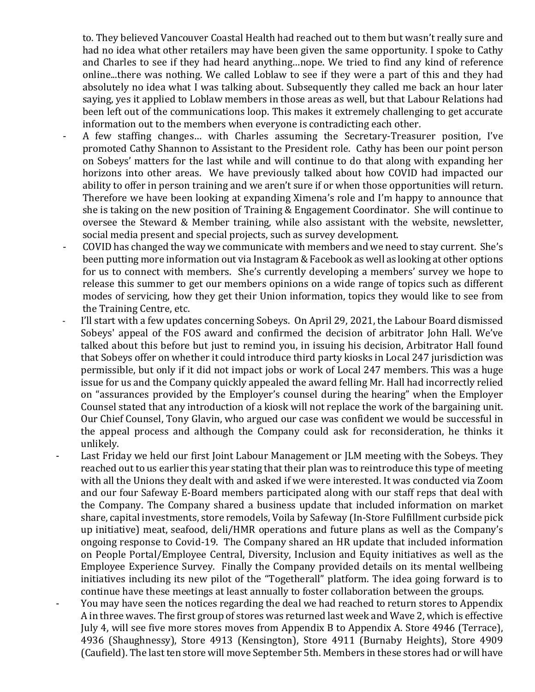to. They believed Vancouver Coastal Health had reached out to them but wasn't really sure and had no idea what other retailers may have been given the same opportunity. I spoke to Cathy and Charles to see if they had heard anything…nope. We tried to find any kind of reference online...there was nothing. We called Loblaw to see if they were a part of this and they had absolutely no idea what I was talking about. Subsequently they called me back an hour later saying, yes it applied to Loblaw members in those areas as well, but that Labour Relations had been left out of the communications loop. This makes it extremely challenging to get accurate information out to the members when everyone is contradicting each other.

- A few staffing changes… with Charles assuming the Secretary-Treasurer position, I've promoted Cathy Shannon to Assistant to the President role. Cathy has been our point person on Sobeys' matters for the last while and will continue to do that along with expanding her horizons into other areas. We have previously talked about how COVID had impacted our ability to offer in person training and we aren't sure if or when those opportunities will return. Therefore we have been looking at expanding Ximena's role and I'm happy to announce that she is taking on the new position of Training & Engagement Coordinator. She will continue to oversee the Steward & Member training, while also assistant with the website, newsletter, social media present and special projects, such as survey development.
- COVID has changed the way we communicate with members and we need to stay current. She's been putting more information out via Instagram & Facebook as well as looking at other options for us to connect with members. She's currently developing a members' survey we hope to release this summer to get our members opinions on a wide range of topics such as different modes of servicing, how they get their Union information, topics they would like to see from the Training Centre, etc.
- I'll start with a few updates concerning Sobeys. On April 29, 2021, the Labour Board dismissed Sobeys' appeal of the FOS award and confirmed the decision of arbitrator John Hall. We've talked about this before but just to remind you, in issuing his decision, Arbitrator Hall found that Sobeys offer on whether it could introduce third party kiosks in Local 247 jurisdiction was permissible, but only if it did not impact jobs or work of Local 247 members. This was a huge issue for us and the Company quickly appealed the award felling Mr. Hall had incorrectly relied on "assurances provided by the Employer's counsel during the hearing" when the Employer Counsel stated that any introduction of a kiosk will not replace the work of the bargaining unit. Our Chief Counsel, Tony Glavin, who argued our case was confident we would be successful in the appeal process and although the Company could ask for reconsideration, he thinks it unlikely.
- Last Friday we held our first Joint Labour Management or JLM meeting with the Sobeys. They reached out to us earlier this year stating that their plan was to reintroduce this type of meeting with all the Unions they dealt with and asked if we were interested. It was conducted via Zoom and our four Safeway E-Board members participated along with our staff reps that deal with the Company. The Company shared a business update that included information on market share, capital investments, store remodels, Voila by Safeway (In-Store Fulfillment curbside pick up initiative) meat, seafood, deli/HMR operations and future plans as well as the Company's ongoing response to Covid-19. The Company shared an HR update that included information on People Portal/Employee Central, Diversity, Inclusion and Equity initiatives as well as the Employee Experience Survey. Finally the Company provided details on its mental wellbeing initiatives including its new pilot of the "Togetherall" platform. The idea going forward is to continue have these meetings at least annually to foster collaboration between the groups.
- You may have seen the notices regarding the deal we had reached to return stores to Appendix A in three waves. The first group of stores was returned last week and Wave 2, which is effective July 4, will see five more stores moves from Appendix B to Appendix A. Store 4946 (Terrace), 4936 (Shaughnessy), Store 4913 (Kensington), Store 4911 (Burnaby Heights), Store 4909 (Caufield). The last ten store will move September 5th. Members in these stores had or will have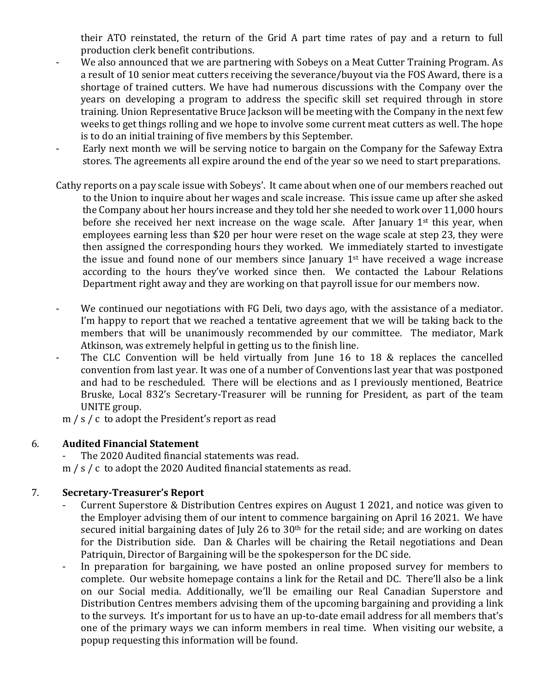their ATO reinstated, the return of the Grid A part time rates of pay and a return to full production clerk benefit contributions.

- We also announced that we are partnering with Sobeys on a Meat Cutter Training Program. As a result of 10 senior meat cutters receiving the severance/buyout via the FOS Award, there is a shortage of trained cutters. We have had numerous discussions with the Company over the years on developing a program to address the specific skill set required through in store training. Union Representative Bruce Jackson will be meeting with the Company in the next few weeks to get things rolling and we hope to involve some current meat cutters as well. The hope is to do an initial training of five members by this September.
- Early next month we will be serving notice to bargain on the Company for the Safeway Extra stores. The agreements all expire around the end of the year so we need to start preparations.
- Cathy reports on a pay scale issue with Sobeys'. It came about when one of our members reached out to the Union to inquire about her wages and scale increase. This issue came up after she asked the Company about her hours increase and they told her she needed to work over 11,000 hours before she received her next increase on the wage scale. After January 1<sup>st</sup> this year, when employees earning less than \$20 per hour were reset on the wage scale at step 23, they were then assigned the corresponding hours they worked. We immediately started to investigate the issue and found none of our members since January 1st have received a wage increase according to the hours they've worked since then. We contacted the Labour Relations Department right away and they are working on that payroll issue for our members now.
- We continued our negotiations with FG Deli, two days ago, with the assistance of a mediator. I'm happy to report that we reached a tentative agreement that we will be taking back to the members that will be unanimously recommended by our committee. The mediator, Mark Atkinson, was extremely helpful in getting us to the finish line.
- The CLC Convention will be held virtually from June 16 to 18 & replaces the cancelled convention from last year. It was one of a number of Conventions last year that was postponed and had to be rescheduled. There will be elections and as I previously mentioned, Beatrice Bruske, Local 832's Secretary-Treasurer will be running for President, as part of the team UNITE group.

m / s / c to adopt the President's report as read

## 6. **Audited Financial Statement**

The 2020 Audited financial statements was read. m / s / c to adopt the 2020 Audited financial statements as read.

# 7. **Secretary-Treasurer's Report**

- Current Superstore & Distribution Centres expires on August 1 2021, and notice was given to the Employer advising them of our intent to commence bargaining on April 16 2021. We have secured initial bargaining dates of July 26 to 30<sup>th</sup> for the retail side; and are working on dates for the Distribution side. Dan & Charles will be chairing the Retail negotiations and Dean Patriquin, Director of Bargaining will be the spokesperson for the DC side.
- In preparation for bargaining, we have posted an online proposed survey for members to complete. Our website homepage contains a link for the Retail and DC. There'll also be a link on our Social media. Additionally, we'll be emailing our Real Canadian Superstore and Distribution Centres members advising them of the upcoming bargaining and providing a link to the surveys. It's important for us to have an up-to-date email address for all members that's one of the primary ways we can inform members in real time. When visiting our website, a popup requesting this information will be found.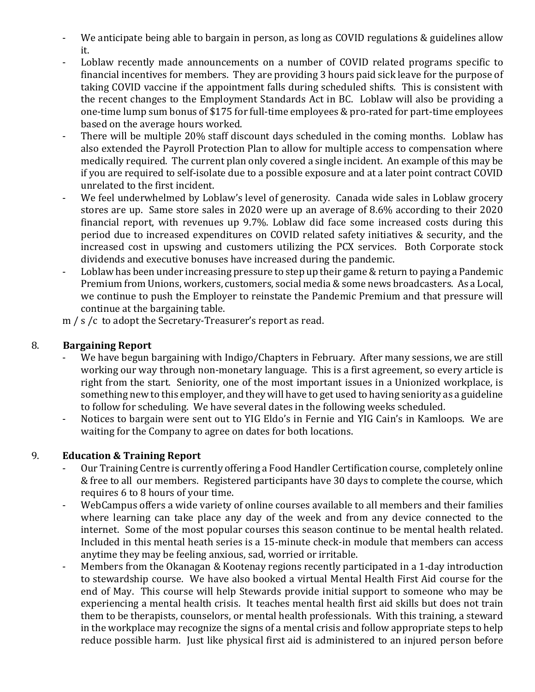- We anticipate being able to bargain in person, as long as COVID regulations & guidelines allow it.
- Loblaw recently made announcements on a number of COVID related programs specific to financial incentives for members. They are providing 3 hours paid sick leave for the purpose of taking COVID vaccine if the appointment falls during scheduled shifts. This is consistent with the recent changes to the Employment Standards Act in BC. Loblaw will also be providing a one-time lump sum bonus of \$175 for full-time employees & pro-rated for part-time employees based on the average hours worked.
- There will be multiple 20% staff discount days scheduled in the coming months. Loblaw has also extended the Payroll Protection Plan to allow for multiple access to compensation where medically required. The current plan only covered a single incident. An example of this may be if you are required to self-isolate due to a possible exposure and at a later point contract COVID unrelated to the first incident.
- We feel underwhelmed by Loblaw's level of generosity. Canada wide sales in Loblaw grocery stores are up. Same store sales in 2020 were up an average of 8.6% according to their 2020 financial report, with revenues up 9.7%. Loblaw did face some increased costs during this period due to increased expenditures on COVID related safety initiatives & security, and the increased cost in upswing and customers utilizing the PCX services. Both Corporate stock dividends and executive bonuses have increased during the pandemic.
- Loblaw has been under increasing pressure to step up their game & return to paying a Pandemic Premium from Unions, workers, customers, social media & some news broadcasters. As a Local, we continue to push the Employer to reinstate the Pandemic Premium and that pressure will continue at the bargaining table.

m / s /c to adopt the Secretary-Treasurer's report as read.

## 8. **Bargaining Report**

- We have begun bargaining with Indigo/Chapters in February. After many sessions, we are still working our way through non-monetary language. This is a first agreement, so every article is right from the start. Seniority, one of the most important issues in a Unionized workplace, is something new to this employer, and they will have to get used to having seniority as a guideline to follow for scheduling. We have several dates in the following weeks scheduled.
- Notices to bargain were sent out to YIG Eldo's in Fernie and YIG Cain's in Kamloops. We are waiting for the Company to agree on dates for both locations.

## 9. **Education & Training Report**

- Our Training Centre is currently offering a Food Handler Certification course, completely online & free to all our members. Registered participants have 30 days to complete the course, which requires 6 to 8 hours of your time.
- WebCampus offers a wide variety of online courses available to all members and their families where learning can take place any day of the week and from any device connected to the internet. Some of the most popular courses this season continue to be mental health related. Included in this mental heath series is a 15-minute check-in module that members can access anytime they may be feeling anxious, sad, worried or irritable.
- Members from the Okanagan & Kootenay regions recently participated in a 1-day introduction to stewardship course. We have also booked a virtual Mental Health First Aid course for the end of May. This course will help Stewards provide initial support to someone who may be experiencing a mental health crisis. It teaches mental health first aid skills but does not train them to be therapists, counselors, or mental health professionals. With this training, a steward in the workplace may recognize the signs of a mental crisis and follow appropriate steps to help reduce possible harm. Just like physical first aid is administered to an injured person before